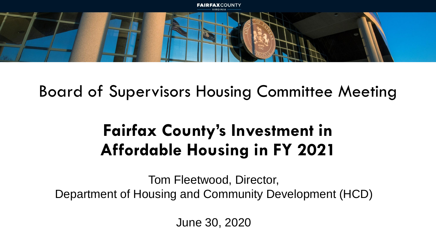

## Board of Supervisors Housing Committee Meeting

# **Fairfax County's Investment in Affordable Housing in FY 2021**

Tom Fleetwood, Director, Department of Housing and Community Development (HCD)

June 30, 2020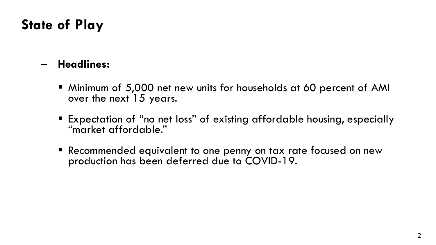## **State of Play**

#### – **Headlines:**

- Minimum of 5,000 net new units for households at 60 percent of AMI over the next 15 years.
- Expectation of "no net loss" of existing affordable housing, especially "market affordable."
- Recommended equivalent to one penny on tax rate focused on new production has been deferred due to COVID-19.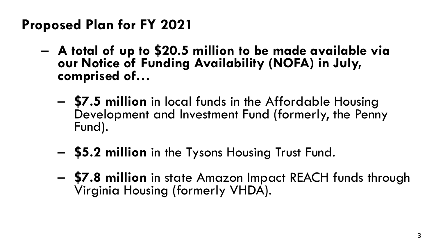## **Proposed Plan for FY 2021**

- **A total of up to \$20.5 million to be made available via our Notice of Funding Availability (NOFA) in July, comprised of…**
	- **\$7.5 million** in local funds in the Affordable Housing Development and Investment Fund (formerly, the Penny Fund).
	- **\$5.2 million** in the Tysons Housing Trust Fund.
	- **\$7.8 million** in state Amazon Impact REACH funds through Virginia Housing (formerly VHDA).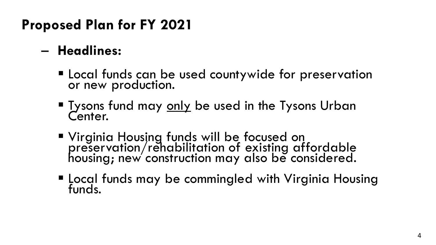## **Proposed Plan for FY 2021**

### – **Headlines:**

- Local funds can be used countywide for preservation or new production.
- **Tysons fund may only be used in the Tysons Urban** Center.
- Virginia Housing funds will be focused on preservation/rehabilitation of existing affordable housing; new construction may also be considered.
- Local funds may be commingled with Virginia Housing funds.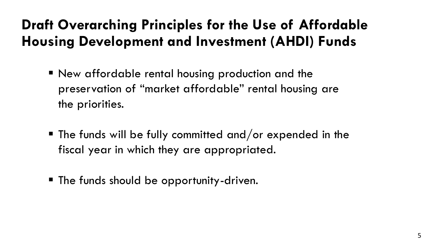## **Draft Overarching Principles for the Use of Affordable Housing Development and Investment (AHDI) Funds**

- New affordable rental housing production and the preservation of "market affordable" rental housing are the priorities.
- $\blacksquare$  The funds will be fully committed and/or expended in the fiscal year in which they are appropriated.
- The funds should be opportunity-driven.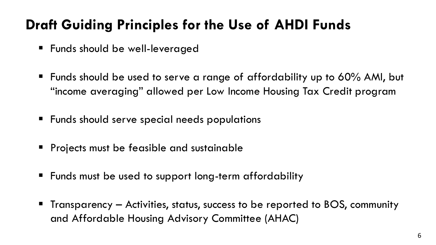## **Draft Guiding Principles for the Use of AHDI Funds**

- Funds should be well-leveraged
- Funds should be used to serve a range of affordability up to 60% AMI, but "income averaging" allowed per Low Income Housing Tax Credit program
- Funds should serve special needs populations
- Projects must be feasible and sustainable
- Funds must be used to support long-term affordability
- Transparency Activities, status, success to be reported to BOS, community and Affordable Housing Advisory Committee (AHAC)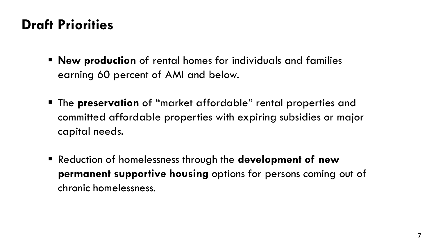### **Draft Priorities**

- **New production** of rental homes for individuals and families earning 60 percent of AMI and below.
- The **preservation** of "market affordable" rental properties and committed affordable properties with expiring subsidies or major capital needs.
- Reduction of homelessness through the **development of new permanent supportive housing** options for persons coming out of chronic homelessness.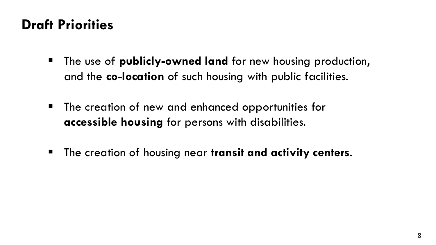### **Draft Priorities**

- The use of **publicly-owned land** for new housing production, and the **co-location** of such housing with public facilities.
- The creation of new and enhanced opportunities for **accessible housing** for persons with disabilities.
- The creation of housing near **transit and activity centers**.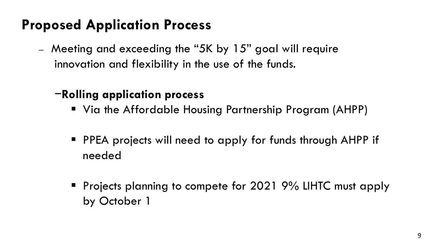### **Proposed Application Process**

― Meeting and exceeding the "5K by 15" goal will require innovation and flexibility in the use of the funds.

#### −**Rolling application process**

- Via the Affordable Housing Partnership Program (AHPP)
- PPEA projects will need to apply for funds through AHPP if needed
- Projects planning to compete for 2021 9% LIHTC must apply by October 1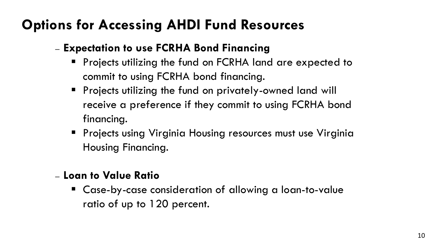## **Options for Accessing AHDI Fund Resources**

#### ― **Expectation to use FCRHA Bond Financing**

- Projects utilizing the fund on FCRHA land are expected to commit to using FCRHA bond financing.
- Projects utilizing the fund on privately-owned land will receive a preference if they commit to using FCRHA bond financing.
- **•** Projects using Virginia Housing resources must use Virginia Housing Financing.
- ― **Loan to Value Ratio**
	- Case-by-case consideration of allowing a loan-to-value ratio of up to 120 percent.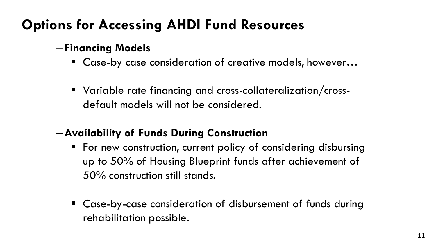## **Options for Accessing AHDI Fund Resources**

#### ―**Financing Models**

- Case-by case consideration of creative models, however...
- Variable rate financing and cross-collateralization/crossdefault models will not be considered.

#### ―**Availability of Funds During Construction**

- For new construction, current policy of considering disbursing up to 50% of Housing Blueprint funds after achievement of 50% construction still stands.
- Case-by-case consideration of disbursement of funds during rehabilitation possible.